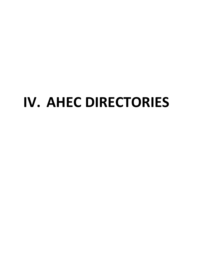# **IV. AHEC DIRECTORIES**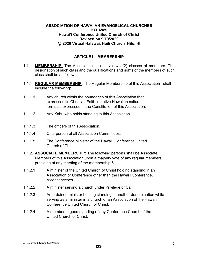#### **ASSOCIATION OF HAWAIIAN EVANGELICAL CHURCHES BYLAWS Hawai'i Conference United Church of Christ Revised on 9/19/2020 @ 2020 Virtual Halawai, Haili Church Hilo, HI**

## **ARTICLE I – MEMBERSHIP**

- **1.1 MEMBERSHIP:** The Association shall have two (2) classes of members. The designation of such class and the qualifications and rights of the members of such class shall be as follows:
- 1.1.1 **REGULAR MEMBERSHIP:** The Regular Membership of this Association shall include the following:
- 1.1.1.1 Any church within the boundaries of this Association that expresses its Christian Faith in native Hawaiian cultural forms as expressed in the Constitution of this Association.
- 1.1.1.2 Any Kahu who holds standing in this Association.
- 1.1.1.3 The officers of this Association.
- 1.1.1.4 Chairperson of all Association Committees.
- 1.1.1.5 The Conference Minister of the Hawai'i Conference United Church of Christ.
- 1.1.2. **ASSOCIATE MEMBERSHIP:** The following persons shall be Associate Members of this Association upon a majority vote of any regular members presiding at any meeting of the membership:6
- 1.1.2.1 A minister of the United Church of Christ holding standing in an Association or Conference other than the Hawai'i Conference. A:concenceses
- 1.1.2.2 A minister serving a church under Privilege of Call.
- 1.1.2.3 An ordained minister holding standing in another denomination while serving as a minister in a church of an Association of the Hawai'i Conference United Church of Christ.
- 1.1.2.4 A member in good standing of any Conference Church of the United Church of Christ.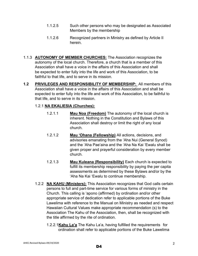- 1.1.2.5 Such other persons who may be designated as Associated Members by the membership
- 1.1.2.6 Recognized partners in Ministry as defined by Article II herein.
- 1.1.3 **AUTONOMY OF MEMBER CHURCHES:** The Association recognizes the autonomy of the local church. Therefore, a church that is a member of this Association shall have a voice in the affairs of this Association and shall be expected to enter fully into the life and work of this Association, to be faithful to that life, and to serve in its mission.
- **1.2 PRIVILEGES AND RESPONSIBILITY OF MEMBERSHIP:** All members of this Association shall have a voice in the affairs of this Association and shall be expected to enter fully into the life and work of this Association, to be faithful to that life, and to serve in its mission.

## 1.2.1 **NA EKALIESIA (Churches):**

- 1.2.1.1 **Mau Noa (Freedom)** The autonomy of the local church is inherent. Nothing in the Constitution and Bylaws of this Association shall destroy or limit the right of any local church.
- 1.2.1.2 **Mau 'Ohana (Fellowship)** All actions, decisions, and advisories emanating from the 'Aha Nui (General Synod) and the 'Aha Pae'aina and the 'Aha Na Kai 'Ewalu shall be given proper and prayerful consideration by every member church.
- 1.2.1.3 **Mau Kuleana (Responsibility)** Each church is expected to fulfill its membership responsibility by paying the per capita assessments as determined by these Bylaws and/or by the 'Aha Na Kai 'Ewalu to continue membership.
- 1.2.2 **NA KAHU (Ministers):** This Association recognizes that God calls certain persons to full and part-time service for various forms of ministry in the Church. This calling is 'apono (affirmed) by ordination and/or other appropriate service of dedication refer to applicable portions of the Buke Lawelima with reference to the Manual on Ministry as needed and respect Hawaiian Cultural Values make appropriate recommendation (s) to the Association The Kahu of the Association, then, shall be recognized with the title affirmed by the rite of ordination.
	- 1.2.2.1**Kahu La'a** The Kahu La'a, having fulfilled the requirements for ordination shall refer to applicable portions of the Buke Lawelima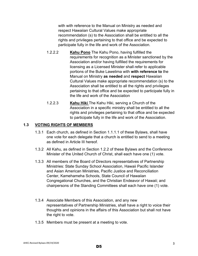with with reference to the Manual on Ministry as needed and respect Hawaiian Cultural Values make appropriate recommendation (s) to the Association shall be entitled to all the rights and privileges pertaining to that office and be expected to participate fully in the life and work of the Association.

- 1.2.2.2 **Kahu Pono** The Kahu Pono, having fulfilled the requirements for recognition as a Minister sanctioned by the Association and/or having fulfilled the requirements for licensing as a Licensed Minister shall refer to applicable portions of the Buke Lawelima with **with reference to** the Manual on Ministry **as needed** and **respect** Hawaiian Cultural Values make appropriate recommendation (s) to the Association shall be entitled to all the rights and privileges pertaining to that office and be expected to participate fully in the life and work of the Association
- 1.2.2.3 **Kahu Hiki** The Kahu Hiki, serving a Church of the Association in a specific ministry shall be entitled to all the rights and privileges pertaining to that office and be expected to participate fully in the life and work of the Association.

## **1.3 VOTING RIGHTS OF MEMBERS**

- 1.3.1 Each church, as defined in Section 1.1.1.1 of these Bylaws, shall have one vote for each delegate that a church is entitled to send to a meeting as defined in Article III hereof.
- 1.3.2 All Kahu, as defined in Section 1.2.2 of these Bylaws and the Conference Minister of the United Church of Christ, shall each have one (1) vote.
- 1.3.3 All members of the Board of Directors representatives of Partnership Ministries: State Sunday School Association, Hawaii Pacific Islander and Asian American Ministries, Pacific Justice and Reconciliation Center, Kamehameha Schools, State Council of Hawaiian Congregational Churches, and the Christian Endeavor of Hawaii; and chairpersons of the Standing Committees shall each have one (1) vote.
- 1.3.4 Associate Members of this Association, and any new representatives of Partnership Ministries, shall have a right to voice their thoughts and opinions in the affairs of this Association but shall not have the right to vote.
- 1.3.5 Members must be present at a meeting to vote.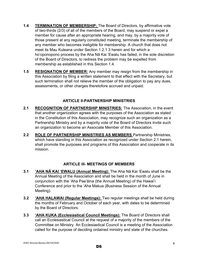- **1.4 TERMINATION OF MEMBERSHIP:** The Board of Directors, by affirmative vote of two-thirds (2/3) of all of the members of the Board, may suspend or expel a member for cause after an appropriate hearing, and may, by a majority vote of those present at any regularly constituted meeting, terminate the membership of any member who becomes ineligible for membership. A church that does not meet its Mau Kuleana under Section 1.2.1.3 herein and for which a ho'oponopono process by the Aha Nā Kai 'Ewalu has failed, in the sole discretion of the Board of Directors, to redress the problem may be expelled from membership as established in this Section 1.4.
- **1.5 RESIGNATION OF MEMBER:** Any member may resign from the membership in this Association by filing a written statement to that effect with the Secretary, but such termination shall not relieve the member of the obligation to pay any dues, assessments, or other charges theretofore accrued and unpaid.

#### **ARTICLE II-PARTNERSHIP MINISTRIES**

- 2.1 RECOGNITION OF PARTNERSHIP MINISTRIES: The Association, in the event that another organization agrees with the purposes of the Association as stated in the Constitution of this Association, may recognize such an organization as a Partnership Ministry and by a majority vote of the Board of Directors invite such an organization to become an Associate Member of this Association.
- **2.2 ROLE OF PARTNERSHIP MINISTRIES AS MEMBERS** Partnership Ministries, which have standing in this Association as recognized under Section 2.1 herein, shall promote the purposes and programs of this Association and cooperate in its mission.

## **ARTICLE III- MEETINGS OF MEMBERS**

- **3.1 'AHA NĀ KAI 'EWALU (Annual Meeting):** The Aha Nā Kai 'Ewalu shall be the Annual Meeting of the Association and shall be held in the month of June in conjunction with the 'Aha Pae'āina (the Annual Meeting) of the Hawai'i Conference and prior to the 'Aha Makua (Business Session of the Annual Meeting).
- **3.2 'AHA HALAWAI (Regular Meetings):** Two regular meetings shall be held during the months of February and October of each year, with dates to be determined by the Board of Directors.
- **3.3 'AHA KUKA (Ecclesiastical Council Meetings):** The Board of Directors shall call an Ecclesiastical Council at the request of a majority of the members of the Committee on Ministry. An Ecclesiastical Council is a meeting of the Association called for the purpose of deciding ordained ministry and state of the churches.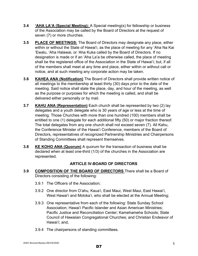- **3.4 'AHA LA'A (Special Meeting):** A Special meeting(s) for fellowship or business of the Association may be called by the Board of Directors at the request of seven (7) or more churches.
- **3.5 PLACE OF MEETINGS:** The Board of Directors may designate any place, either within or without the State of Hawai'i, as the place of meeting for any 'Aha Na Kai 'Ewalu, 'Aha Halawai, or 'Aha Kuka called by the Board of Directors. If no designation is made or if an 'Aha La'a be otherwise called, the place of meeting shall be the registered office of the Association in the State of Hawai'i; but, if all of the members shall meet at any time and place, either within or without call or notice, and at such meeting any corporate action may be taken.
- **3.6 KAHEA ANA (Notification)** The Board of Directors shall provide written notice of all meetings to the membership at least thirty (30) days prior to the date of the meeting. Said notice shall state the place, day, and hour of the meeting, as well as the purpose or purposes for which the meeting is called, and shall be delivered either personally or by mail.
- **3.7 KAHU ANA (Representation)** Each church shall be represented by two (2) lay delegates and a youth delegate who is 30 years of age or less at the time of meeting. Those Churches with more than one hundred (100) members shall be entitled to one (1) delegate for each additional fifty (50) or major fraction thereof. The total delegates from any one church shall not exceed seven (7). All Kahu, the Conference Minister of the Hawai'i Conference, members of the Board of Directors, representatives of recognized Partnership Ministries and Chairpersons of Standing Committees shall represent themselves.
- **3.8 KE KOHO ANA (Quorum)** A quorum for the transaction of business shall be declared when at least one-third (1/3) of the churches in the Association are represented.

# **ARTICLE IV-BOARD OF DIRECTORS**

- **3.9 COMPOSITION OF THE BOARD OF DIRECTORS** There shall be a Board of Directors consisting of the following:
	- 3.9.1 The Officers of the Association;
	- 3.9.2 One director from O'ahu, Kaua'i, East Maui, West Maui, East Hawai'i, West Hawai'i and Moloka'i, who shall be elected at the Annual Meeting;
	- 3.9.3 One representative from each of the following: State Sunday School Association; Hawai'i Pacific Islander and Asian American Ministries; Pacific Justice and Reconciliation Center; Kamehameha Schools; State Council of Hawaiian Congregational Churches; and Christian Endeavor of Hawai'i; and,
	- 3.9.4 The chairpersons of standing committees.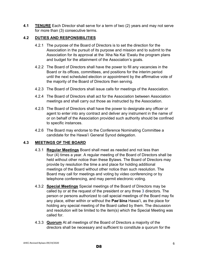**4.1 TENURE** Each Director shall serve for a term of two (2) years and may not serve for more than (3) consecutive terms.

## **4.2 DUTIES AND RESPONSIBILITIES**

- 4.2.1 The purpose of the Board of Directors is to set the direction for the Association in the pursuit of its purpose and mission and to submit to the Association for its approval at the 'Aha Na Kai 'Ewalu the program plans and budget for the attainment of the Association's goals.
- 4.2.2 The Board of Directors shall have the power to fill any vacancies in the Board or its offices, committees, and positions for the interim period until the next scheduled election or appointment by the affirmative vote of the majority of the Board of Directors then serving.
- 4.2.3 The Board of Directors shall issue calls for meetings of the Association.
- 4.2.4 The Board of Directors shall act for the Association between Association meetings and shall carry out those as instructed by the Association.
- 4.2.5 The Board of Directors shall have the power to designate any officer or agent to enter into any contract and deliver any instrument in the name of or on behalf of the Association provided such authority should be confined to specific instances.
- 4.2.6 The Board may endorse to the Conference Nominating Committee a candidate for the Hawai'i General Synod delegation.

## **4.3 MEETINGS OF THE BOARD**

- 4.3.1 **Regular Meetings** Board shall meet as needed and not less than four (4) times a year. A regular meeting of the Board of Directors shall be held without other notice than these Bylaws. The Board of Directors may provide by resolution the time a and place for holding additional meetings of the Board without other notice than such resolution. The Board may call for meetings and voting by video conferencing or by telephone conferencing, and may permit electronic voting.
- 4.3.2 **Special Meetings** Special meetings of the Board of Directors may be called by or at the request of the president or any three 3 directors. The person or persons authorized to call special meetings of the Board may fix any place, either within or without the **Paeʻāina** Hawai'i, as the place for holding any special meeting of the Board called by them. The discussion and resolution will be limited to the item(s) which the Special Meeting was called for.
- 4.3.3 **Quorum** At all meetings of the Board of Directors a majority of the directors shall be necessary and sufficient to constitute a quorum for the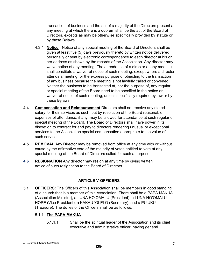transaction of business and the act of a majority of the Directors present at any meeting at which there is a quorum shall be the act of the Board of Directors, excepts as may be otherwise specifically provided by statute or by these Bylaws.

- 4.3.4 **Notice** Notice of any special meeting of the Board of Directors shall be given at least five (5) days previously thereto by written notice delivered personally or sent by electronic correspondence to each director at his or her address as shown by the records of the Association. Any director may waive notice of any meeting. The attendance of a director at any meeting shall constitute a waiver of notice of such meeting, except where a director attends a meeting for the express purpose of objecting to the transaction of any business because the meeting is not lawfully called or convened. Neither the business to be transacted at, nor the purpose of, any regular or special meeting of the Board need to be specified in the notice or waiver of notice of such meeting, unless specifically required by law or by these Bylaws.
- **4.4 Compensation and Reimbursement** Directors shall not receive any stated salary for their services as such, but by resolution of the Board reasonable expenses of attendance, if any, may be allowed for attendance at such regular or special meeting of the Board. The Board of Directors shall have power in its discretion to contract for and pay to directors rendering unusual or exceptional services to the Association special compensation appropriate to the value of such services.
- **4.5 REMOVAL** Any Director may be removed from office at any time with or without cause by the affirmative vote of the majority of votes entitled to vote at any special meeting of the Board of Directors called for such a purpose.
- **4.6 RESIGNATION** Any director may resign at any time by giving written notice of such resignation to the Board of Directors.

## **ARTICLE V-OFFICERS**

**5.1 OFFICERS:** The Officers of this Association shall be members in good standing of a church that is a member of this Association. There shall be a PAPA MAKUA (Association Minister), a LUNA HO'OMALU (President), a LUNA HO'OMALU HOPE (Vice President), a KAKAU 'OLELO (Secretary), and a PU'UKU (Treasure). The duties of the Officers shall be as follows:

## 5.1.1 **The PAPA MAKUA**

 5.1.1.1 Shall be the spiritual leader of the Association and its chief executive and administrative officer, having general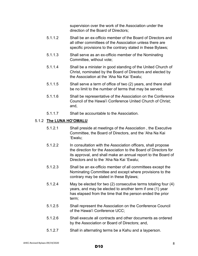supervision over the work of the Association under the direction of the Board of Directors;

- 5.1.1.2 Shall be an ex-officio member of the Board of Directors and all other committees of the Association unless there are specific provisions to the contrary stated in these Bylaws;
- 5.1.1.3 Shall serve as an ex-officio member of the Nominating Committee, without vote;
- 5.1.1.4 Shall be a minister in good standing of the United Church of Christ, nominated by the Board of Directors and elected by the Association at the 'Aha Na Kai 'Ewalu;
- 5.1.1.5 Shall serve a term of office of two (2) years, and there shall be no limit to the number of terms that may be served;
- 5.1.1.6 Shall be representative of the Association on the Conference Council of the Hawai'i Conference United Church of Christ; and,
- 5.1.1.7 Shall be accountable to the Association.

#### 5.1.2 **The LUNA HO'OMALU**

- 5.1.2.1 Shall preside at meetings of the Association , the Executive Committee, the Board of Directors, and the 'Aha Na Kai 'Ewalu;
- 5.1.2.2 In consultation with the Association officers, shall propose the direction for the Association to the Board of Directors for its approval, and shall make an annual report to the Board of Directors and to the 'Aha Na Kai 'Ewalu;
- 5.1.2.3 Shall be an ex-officio member of all committees except the Nominating Committee and except where provisions to the contrary may be stated in these Bylaws;
- 5.1.2.4 May be elected for two (2) consecutive terms totaling four (4) years, and may be elected to another term if one (1) year has elapsed from the time that the person ended the prior term;
- 5.1.2.5 Shall represent the Association on the Conference Council of the Hawai'i Conference UCC;
- 5.1.2.6 Shall execute all contracts and other documents as ordered by the Association or Board of Directors; and,
- 5.1.2.7 Shall in alternating terms be a Kahu and a layperson.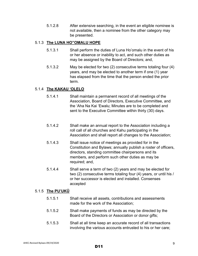5.1.2.8 After extensive searching, in the event an eligible nominee is not available, then a nominee from the other category may be presented.

#### 5.1.3 **The LUNA HO"OMALU HOPE**

- 5.1.3.1 Shall perform the duties of Luna Ho'omalu in the event of his or her absence or inability to act, and such other duties as may be assigned by the Board of Directors; and,
- 5.1.3.2 May be elected for two (2) consecutive terms totaling four (4) years, and may be elected to another term if one (1) year has elapsed from the time that the person ended the prior term.

## 5.1.4 **The KAKAU 'OLELO**

- 5.1.4.1 Shall maintain a permanent record of all meetings of the Association, Board of Directors, Executive Committee, and the 'Aha Na Kai 'Ewalu; Minutes are to be completed and sent to the Executive Committee within thirty (30) days.
- 5.1.4.2 Shall make an annual report to the Association including a roll call of all churches and Kahu participating in the Association and shall report all changes to the Association;
- 5.1.4.3 Shall issue notice of meetings as provided for in the Constitution and Bylaws; annually publish a roster of officers, directors, standing committee chairpersons and its members, and perform such other duties as may be required; and,
- 5.1.4.4 Shall serve a term of two (2) years and may be elected for two (2) consecutive terms totaling four (4) years, or until his / or her successor is elected and installed. Consenses accepted

#### 5.1.5 **The PU'UKŪ**

- 5.1.5.1 Shall receive all assets, contributions and assessments made for the work of the Association;
- 5.1.5.2 Shall make payments of funds as may be directed by the Board of the Directors or Association or donor gifts;
- 5.1.5.3 Shall at all time keep an accurate record of all transactions involving the various accounts entrusted to his or her care;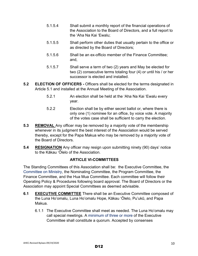- 5.1.5.4 Shall submit a monthly report of the financial operations of the Association to the Board of Directors, and a full report to the 'Aha Na Kai 'Ewalu;
- 5.1.5.5 Shall perform other duties that usually pertain to the office or as directed by the Board of Directors;
- 5.1.5.6 Shall be an ex-officio member of the Finance Committee; and,
- 5.1.5.7 Shall serve a term of two (2) years and May be elected for two (2) consecutive terms totaling four (4) or until his / or her successor is elected and installed.
- **5.2 ELECTION OF OFFICERS** Officers shall be elected for the terms designated in Article 5.1 and installed at the Annual Meeting of the Association.
	- 5.2.1 An election shall be held at the 'Aha Na Kai 'Ewalu every year.
	- 5.2.2 Election shall be by either secret ballot or, where there is only one (1) nominee for an office, by voice vote. A majority of the votes case shall be sufficient to carry the election.
- **5.3 REMOVAL** Any officer may be removed by a majority vote of the membership whenever in its judgment the best interest of the Association would be served thereby, except for the Papa Makua who may be removed by a majority vote of the Board of Directors.
- **5.4 RESIGNATION** Any officer may resign upon submitting ninety (90) days' notice to the Kākau 'Ōlelo of the Association.

# **ARTICLE VI-COMMITTEES**

The Standing Committees of this Association shall be: the Executive Committee, the Committee on Ministry, the Nominating Committee, the Program Committee, the Finance Committee, and the Hua Mua Committee. Each committee will follow their Operating Policy & Procedures following board approval. The Board of Directors or the Association may appoint Special Committees as deemed advisable.

- **6.1 EXECUTIVE COMMITTEE** There shall be an Executive Committee composed of the Luna Ho'omalu, Luna Ho'omalu Hope, Kākau 'Ōlelo, Pu'ukū, and Papa Makua.
	- 6.1.1 The Executive Committee shall meet as needed. The Luna Ho'omalu may call special meetings. A minimum of three or more of the Executive Committee shall constitute a quorum. Accepted by consenses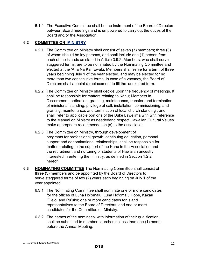6.1.2 The Executive Committee shall be the instrument of the Board of Directors between Board meetings and is empowered to carry out the duties of the Board and/or the Association.

## **6.2 COMMITTEE ON MINISTRY**

- 6.2.1 The Committee on Ministry shall consist of seven (7) members; three (3) of whom should be lay persons, and shall include one (1) person from each of the islands as stated in Article 3.9.2. Members, who shall serve staggered terms, are to be nominated by the Nominating Committee and elected at the 'Aha Na Kai 'Ewalu. Members shall serve for a term of three years beginning July 1 of the year elected, and may be elected for no more than two consecutive terms. In case of a vacancy, the Board of Directors shall appoint a replacement to fill the unexpired term.
- 6.2.2 The Committee on Ministry shall decide upon the frequency of meetings. It shall be responsible for matters relating to Kahu; Members in Discernment; ordination; granting, maintenance, transfer, and termination of ministerial standing; privilege of call; installation; commissioning; and granting, maintenance, and termination of local church standing ; and shall, refer to applicable portions of the Buke Lawelima with with reference to the Manual on Ministry as neededand respect Hawaiian Cultural Values make appropriate recommendation (s) to the association.
- 6.2.3 The Committee on Ministry, through development of programs for professional growth, continuing education, personal support and denominational relationships, shall be responsible for matters relating to the support of the Kahu in the Association and the recruitment and nurturing of students of Hawaiian ancestry interested in entering the ministry, as defined in Section 1.2.2 hereof.
- **6.3 NOMINATING COMMITTEE** The Nominating Committee shall consist of three (3) members and be appointed by the Board of Directors to serve staggered terms of two (2) years each beginning on July 1 of the year appointed.
	- 6.3.1 The Nominating Committee shall nominate one or more candidates for the offices of Luna Ho'omalu, Luna Ho'omalu Hope, Kākau 'Ōlelo, and Pu'ukū; one or more candidates for island representatives to the Board of Directors; and one or more candidates for the Committee on Ministry.
	- 6.3.2 The names of the nominees, with information of their qualification, shall be submitted to member churches no less than one (1) month before the Annual Meeting.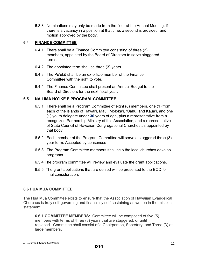6.3.3 Nominations may only be made from the floor at the Annual Meeting, if there is a vacancy in a position at that time, a second is provided, and motion approved by the body.

#### **6.4 FINANCE COMMITTEE**

- 6.4.1 There shall be a Finance Committee consisting of three (3) members, appointed by the Board of Directors to serve staggered terms.
- 6.4.2 The appointed term shall be three (3) years.
- 6.4.3 The Pu'ukū shall be an ex-officio member of the Finance Committee with the right to vote.
- 6.4.4 The Finance Committee shall present an Annual Budget to the Board of Directors for the next fiscal year.

## **6.5 NA LIMA HO`IKE E PROGRAM**\_**COMMITTEE**

- 6.5.1 There shall be a Program Committee of eight (8) members, one (1) from each of the islands of Hawai'i, Maui, Moloka'i, 'Oahu, and Kaua'i, and one (1) youth delegate under **30** years of age, plus a representative from a recognized Partnership Ministry of this Association, and a representative of State Council of Hawaiian Congregational Churches as appointed by that body.
- 6.5.2 Each member of the Program Committee will serve a staggered three (3) year term. Accepted by consenses
- 6.5.3 The Program Committee members shall help the local churches develop programs.
- 6.5.4 The program committee will review and evaluate the grant applications.
- 6.5.5 The grant applications that are denied will be presented to the BOD for final consideration.

## **6.6 HUA MUA COMMITTEE**

The Hua Mua Committee exists to ensure that the Association of Hawaiian Evangelical Churches is truly self-governing and financially self-sustaining as written in the mission statement.

**6.6.1 COMMITTEE MEMBERS:** Committee will be composed of five (5) members with terms of three (3) years that are staggered, or until replaced. Committee shall consist of a Chairperson, Secretary, and Three (3) at large members.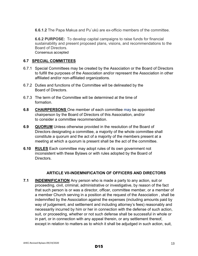**6.6.1.2** The Papa Makua and Pu`ukū are ex-officio members of the committee.

**6.6.2 PURPOSE:** To develop capital campaigns to raise funds for financial sustainability and present proposed plans, visions, and recommendations to the Board of Directors. Consensus accepted

#### **6.7 SPECIAL COMMITTEES**

- 6.7.1 Special Committees may be created by the Association or the Board of Directors to fulfill the purposes of the Association and/or represent the Association in other affiliated and/or non-affiliated organizations.
- 6.7.2 Duties and functions of the Committee will be delineated by the Board of Directors.
- 6.7.3 The term of the Committee will be determined at the time of formation.
- **6.8 CHAIRPERSONS** One member of each committee may be appointed chairperson by the Board of Directors of this Association, and/or to consider a committee recommendation.
- **6.9 QUORUM** Unless otherwise provided in the resolution of the Board of Directors designating a committee, a majority of the whole committee shall constitute a quorum and the act of a majority of the members present at a meeting at which a quorum is present shall be the act of the committee.
- **6.10 RULES** Each committee may adopt rules of its own government not inconsistent with these Bylaws or with rules adopted by the Board of Directors.

#### **ARTICLE VII-INDEMNIFICATION OF OFFICERS AND DIRECTORS**

**7.1 INDEMNIFICATION** Any person who is made a party to any action, suit or proceeding, civil, criminal, administrative or investigative, by reason of the fact that such person is or was a director, officer, committee member, or a member of a member Church serving in a position at the request of the Association , shall be indemnified by the Association against the expenses (including amounts paid by way of judgement, and settlement and including attorney's fees) reasonably and necessarily incurred by him or her in connection with the defense of such action, suit, or proceeding, whether or not such defense shall be successful in whole or in part, or in connection with any appeal therein, or any settlement thereof, except in relation to matters as to which it shall be adjudged in such action, suit,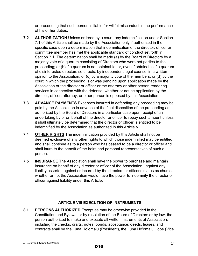or proceeding that such person is liable for willful misconduct in the performance of his or her duties.

- **7.2 AUTHORIZATION** Unless ordered by a court, any indemnification under Section 7.1 of this Article shall be made by the Association only if authorized in the specific case upon a determination that indemnification of the director, officer or committee member has met the applicable standard of conduct set forth in Section 7.1. The determination shall be made (a) by the Board of Directors by a majority vote of a quorum consisting of Directors who were not parties to the proceeding; or (b) if a quorum is not obtainable, or, even if obtainable if a quorum of disinterested directors so directs, by independent legal counsel in a written opinion to the Association; or (c) by a majority vote of the members; or (d) by the court in which the proceeding is or was pending upon application made by the Association or the director or officer or the attorney or other person rendering services in connection with the defense, whether or not he application by the director, officer, attorney, or other person is opposed by this Association.
- **7.3 ADVANCE PAYMENTS** Expenses incurred in defending any proceeding may be paid by the Association in advance of the final disposition of the proceeding as authorized by the Board of Directors in a particular case upon receipt of an undertaking by or on behalf of the director or officer to repay such amount unless it shall ultimately be determined that the director or officer is entitled to be indemnified by the Association as authorized in this Article VII.
- **7.4 OTHER RIGHTS** The indemnification provided by this Article shall not be deemed exclusive of any other rights to which those indemnified may be entitled and shall continue as to a person who has ceased to be a director or officer and shall inure to the benefit of the heirs and personal representatives of such a person.
- **7.5 INSURANCE** The Association shall have the power to purchase and maintain insurance on behalf of any director or officer of the Association , against any liability asserted against or incurred by the directors or officer's status as church, whether or not the Association would have the power to indemnify the director or officer against liability under this Article.

# **ARTICLE VIII-EXECUTION OF INSTRUMENTS**

**8.1 PERSONS AUTHORIZED** Except as may be otherwise provided in the Constitution and Bylaws, or by resolution of the Board of Directors or by law, the person authorized to make and execute all written instruments of Association, including the checks, drafts, notes, bonds, acceptance, deeds, leases, and contracts shall be the Luna Ho'omalu (President), the Luna Ho'omalu Hope (Vice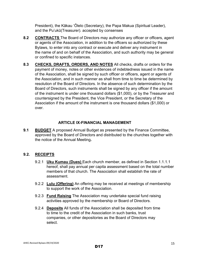President), the Kākau 'Ōlelo (Secretary), the Papa Makua (Spiritual Leader), and the Pu'ukū(Treasurer). accepted by consenses

- **8.2 CONTRACTS** The Board of Directors may authorize any officer or officers, agent or agents of the Association, in addition to the officers so authorized by these Bylaws, to enter into any contract or execute and deliver any instrument in the name of and on behalf of the Association, and such authority may be general or confined to specific instances.
- **8.3 CHECKS, DRAFTS, ORDERS, AND NOTES** All checks, drafts or orders for the payment of money, notes or other evidences of indebtedness issued in the name of the Association, shall be signed by such officer or officers, agent or agents of the Association, and in such manner as shall from time to time be determined by resolution of the Board of Directors. In the absence of such determination by the Board of Directors, such instruments shall be signed by any officer if the amount of the instrument is under one thousand dollars (\$1,000), or by the Treasurer and countersigned by the President, the Vice President, or the Secretary of the Association if the amount of the instrument is one thousand dollars (\$1,000) or over.

## **ARTICLE IX-FINANCIAL MANAGEMENT**

**9.1 BUDGET** A proposed Annual Budget as presented by the Finance Committee, approved by the Board of Directors and distributed to the churches together with the notice of the Annual Meeting**.** 

# **9.2. RECEIPTS**

- 9.2.1 **Uku Kumau (Dues)** Each church member, as defined in Section 1.1.1.1 hereof, shall pay annual per capita assessment based on the total number members of that church. The Association shall establish the rate of assessment.
- 9.2.2 **Lulu (Offering)** An offering may be received at meetings of membership to support the work of the Association.
- 9.2.3 **Fund Raising** The Association may undertake special fund raising activities approved by the membership or Board of Directors.
- 9.2.4 **Deposits** All funds of the Association shall be deposited from time to time to the credit of the Association in such banks, trust companies, or other depositories as the Board of Directors may select.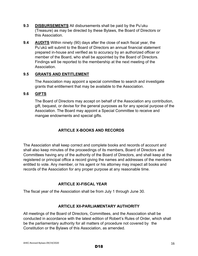- **9.3 DISBURSEMENTS** All disbursements shall be paid by the Pu'uku (Treasure) as may be directed by these Bylaws, the Board of Directors or this Association.
- **9.4 AUDITS** Within ninety (90) days after the close of each fiscal year, the Pu'ukū will submit to the Board of Directors an annual financial statement prepared in-house and verified as to accuracy by an authorized officer or member of the Board, who shall be appointed by the Board of Directors. Findings will be reported to the membership at the next meeting of the Association.

#### **9.5 GRANTS AND ENTITLEMENT**

The Association may appoint a special committee to search and investigate grants that entitlement that may be available to the Association.

#### **9.6 GIFTS**

The Board of Directors may accept on behalf of the Association any contribution, gift, bequest, or devise for the general purposes as for any special purpose of the Association. The Board may appoint a Special Committee to receive and mangae endowments and special gifts.

## **ARTICLE X-BOOKS AND RECORDS**

The Association shall keep correct and complete books and records of account and shall also keep minutes of the proceedings of its members, Board of Directors and Committees having any of the authority of the Board of Directors, and shall keep at the registered or principal office a record giving the names and addresses of the members entitled to vote. Any member, or his agent or his attorney may inspect all books and records of the Association for any proper purpose at any reasonable time.

## **ARTICLE XI-FISCAL YEAR**

The fiscal year of the Association shall be from July 1 through June 30.

#### **ARTICLE XII-PARLIAMENTARY AUTHORITY**

All meetings of the Board of Directors, Committees, and the Association shall be conducted in accordance with the latest edition of Robert's Rules of Order, which shall be the parliamentary authority for all matters of procedure not covered by the Constitution or the Bylaws of this Association, as amended.